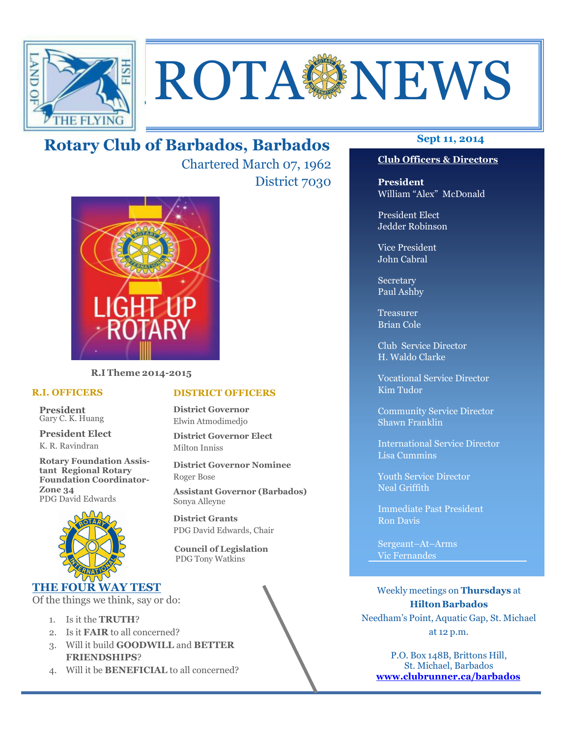

# **ROTA NEWS**

# **Sept 11, 2014 Rotary Club of Barbados, Barbados**

Chartered March 07, 1962 District 7030



**R.I Theme 2014-2015** 

#### **R.I. OFFICERS**

**President** Gary C. K. Huang

**President Elect** K. R. Ravindran

**Rotary Foundation Assistant Regional Rotary Foundation Coordinator-Zone 34**  PDG David Edwards



# **THE FOUR WAY TEST**

Of the things we think, say or do:

- 1. Is it the **TRUTH**?
- 2. Is it **FAIR** to all concerned?
- 3. Will it build **GOODWILL** and **BETTER FRIENDSHIPS**?
- 4. Will it be **BENEFICIAL** to all concerned?

# **Club Officers & Directors**

**President** William "Alex" McDonald

President Elect Jedder Robinson

Vice President John Cabral

Secretary Paul Ashby

Treasurer Brian Cole

Club Service Director H. Waldo Clarke

Vocational Service Director Kim Tudor

Community Service Director Shawn Franklin

International Service Director Lisa Cummins

Youth Service Director Neal Griffith

Immediate Past President Ron Davis

Sergeant–At–Arms Vic Fernandes

Weekly meetings on **Thursdays** at **Hilton Barbados** Needham's Point, Aquatic Gap, St. Michael at 12 p.m.

P.O. Box 148B, Brittons Hill, St. Michael, Barbados **www.clubrunner.ca/barbados**

#### **DISTRICT OFFICERS**

**District Governor** Elwin Atmodimedjo

**District Governor Elect** Milton Inniss

**District Governor Nominee**  Roger Bose

**Assistant Governor (Barbados)** Sonya Alleyne

**District Grants**  PDG David Edwards, Chair

 **Council of Legislation**  PDG Tony Watkins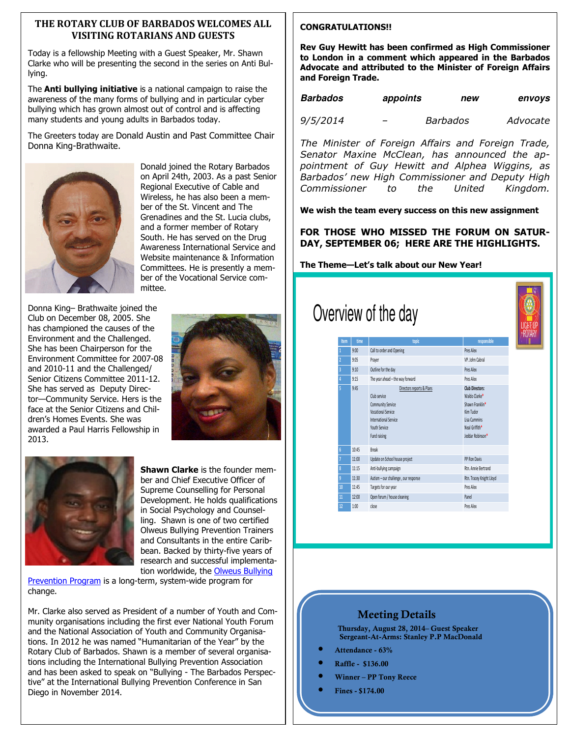#### **THE ROTARY CLUB OF BARBADOS WELCOMES ALL VISITING ROTARIANS AND GUESTS**

Today is a fellowship Meeting with a Guest Speaker, Mr. Shawn Clarke who will be presenting the second in the series on Anti Bullying.

The **Anti bullying initiative** is a national campaign to raise the awareness of the many forms of bullying and in particular cyber bullying which has grown almost out of control and is affecting many students and young adults in Barbados today.

The Greeters today are Donald Austin and Past Committee Chair Donna King-Brathwaite.



Donald joined the Rotary Barbados on April 24th, 2003. As a past Senior Regional Executive of Cable and Wireless, he has also been a member of the St. Vincent and The Grenadines and the St. Lucia clubs, and a former member of Rotary South. He has served on the Drug Awareness International Service and Website maintenance & Information Committees. He is presently a member of the Vocational Service committee.

Donna King– Brathwaite joined the Club on December 08, 2005. She has championed the causes of the Environment and the Challenged. She has been Chairperson for the Environment Committee for 2007-08 and 2010-11 and the Challenged/ Senior Citizens Committee 2011-12. She has served as Deputy Director—Community Service. Hers is the face at the Senior Citizens and Children's Homes Events. She was awarded a Paul Harris Fellowship in 2013.





**Shawn Clarke** is the founder member and Chief Executive Officer of Supreme Counselling for Personal Development. He holds qualifications in Social Psychology and Counselling. Shawn is one of two certified Olweus Bullying Prevention Trainers and Consultants in the entire Caribbean. Backed by thirty-five years of research and successful implementation worldwide, the Olweus Bullying

Prevention Program is a long-term, system-wide program for change.

Mr. Clarke also served as President of a number of Youth and Community organisations including the first ever National Youth Forum and the National Association of Youth and Community Organisations. In 2012 he was named "Humanitarian of the Year" by the Rotary Club of Barbados. Shawn is a member of several organisations including the International Bullying Prevention Association and has been asked to speak on "Bullying - The Barbados Perspective" at the International Bullying Prevention Conference in San Diego in November 2014.

#### **CONGRATULATIONS!!**

**Rev Guy Hewitt has been confirmed as High Commissioner to London in a comment which appeared in the Barbados Advocate and attributed to the Minister of Foreign Affairs and Foreign Trade.** 

| <b>Barbados</b> | appoints | new | envoys |
|-----------------|----------|-----|--------|
|                 |          |     |        |

*9/5/2014 – Barbados Advocate* 

*The Minister of Foreign Affairs and Foreign Trade, Senator Maxine McClean, has announced the appointment of Guy Hewitt and Alphea Wiggins, as Barbados' new High Commissioner and Deputy High Commissioner to the United Kingdom.* 

**We wish the team every success on this new assignment** 

**FOR THOSE WHO MISSED THE FORUM ON SATUR-DAY, SEPTEMBER 06; HERE ARE THE HIGHLIGHTS.** 

**The Theme—Let's talk about our New Year!** 

|                |       | Overview of the day                                                                                                                                          |                                                                                                                               |  |
|----------------|-------|--------------------------------------------------------------------------------------------------------------------------------------------------------------|-------------------------------------------------------------------------------------------------------------------------------|--|
| Item           | time  | topic                                                                                                                                                        | responsible                                                                                                                   |  |
|                | 9:00  | Call to order and Opening                                                                                                                                    | Pres Alex                                                                                                                     |  |
| $\overline{a}$ | 9:05  | Prayer                                                                                                                                                       | VP Inhn Cahral                                                                                                                |  |
| 3              | 9:10  | Outline for the day                                                                                                                                          | Pres Alex                                                                                                                     |  |
| 4              | 9:15  | The year ahead - the way forward                                                                                                                             | Pres Alex                                                                                                                     |  |
| š              | 9:45  | Directors reports & Plans<br>Club service<br><b>Community Service</b><br><b>Vocational Service</b><br>International Service<br>Youth Service<br>Fund raising | <b>Club Directors:</b><br>Waldo Clarke*<br>Shawn Franklin*<br>Kim Tudor<br>Lisa Cummins<br>Neal Griffith*<br>Jeddar Robinson* |  |
| 6              | 10:45 | <b>Break</b>                                                                                                                                                 |                                                                                                                               |  |
|                | 11:00 | Update on School house project                                                                                                                               | PP Ron Davis                                                                                                                  |  |
| $\overline{8}$ | 11:15 | Anti-bullying campaign                                                                                                                                       | Rtn. Annie Bertrand                                                                                                           |  |
| 9              | 11:30 | Autism - our challenge, our response                                                                                                                         | Rtn. Tracey Knight Lloyd                                                                                                      |  |
| 10             | 11:45 | Targets for our year                                                                                                                                         | Pres Alex                                                                                                                     |  |
| 11             | 12:00 | Open forum / house cleaning                                                                                                                                  | Panel                                                                                                                         |  |
| 12             | 1:00  | close                                                                                                                                                        | Pres Alex                                                                                                                     |  |

#### **Meeting Details**

**Thursday, August 28, 2014– Guest Speaker Sergeant-At-Arms: Stanley P.P MacDonald** 

- **Attendance 63%**
- **Raffle \$136.00**
- **Winner PP Tony Reece**
- **Fines \$174.00**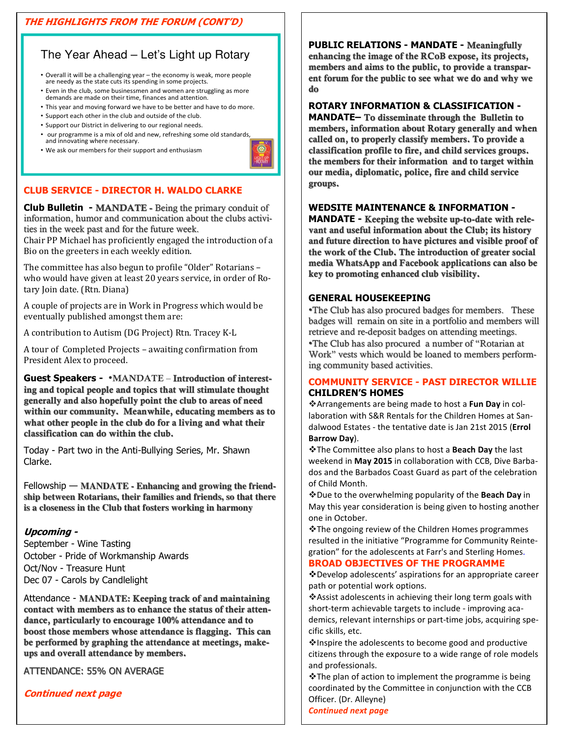# **THE HIGHLIGHTS FROM THE FORUM (CONT'D)**

# The Year Ahead – Let's Light up Rotary

- Overall it will be a challenging year the economy is weak, more people are needy as the state cuts its spending in some projects.
- Even in the club, some businessmen and women are struggling as more demands are made on their time, finances and attention.
- This year and moving forward we have to be better and have to do more.
- Support each other in the club and outside of the club.
- Support our District in delivering to our regional needs.
- our programme is a mix of old and new, refreshing some old standards, and innovating where necessary.
- We ask our members for their support and enthusiasm



# **CLUB SERVICE - DIRECTOR H. WALDO CLARKE**

**Club Bulletin - MANDATE -** Being the primary conduit of information, humor and communication about the clubs activities in the week past and for the future week.

Chair PP Michael has proficiently engaged the introduction of a Bio on the greeters in each weekly edition.

The committee has also begun to profile "Older" Rotarians – who would have given at least 20 years service, in order of Rotary Join date. (Rtn. Diana)

A couple of projects are in Work in Progress which would be eventually published amongst them are:

A contribution to Autism (DG Project) Rtn. Tracey K-L

A tour of Completed Projects – awaiting confirmation from President Alex to proceed.

**Guest Speakers -** •**MANDATE** – **Introduction of interesting and topical people and topics that will stimulate thought generally and also hopefully point the club to areas of need within our community. Meanwhile, educating members as to what other people in the club do for a living and what their classification can do within the club.**

Today - Part two in the Anti-Bullying Series, Mr. Shawn Clarke.

Fellowship — **MANDATE - Enhancing and growing the friendship between Rotarians, their families and friends, so that there is a closeness in the Club that fosters working in harmony**

# **Upcoming -**

September - Wine Tasting October - Pride of Workmanship Awards Oct/Nov - Treasure Hunt Dec 07 - Carols by Candlelight

Attendance - **MANDATE: Keeping track of and maintaining contact with members as to enhance the status of their attendance, particularly to encourage 100% attendance and to boost those members whose attendance is flagging. This can be performed by graphing the attendance at meetings, makeups and overall attendance by members.**

ATTENDANCE: 55% ON AVERAGE

**Continued next page** 

**PUBLIC RELATIONS - MANDATE - Meaningfully enhancing the image of the RCoB expose, its projects, members and aims to the public, to provide a transparent forum for the public to see what we do and why we do** 

#### **ROTARY INFORMATION & CLASSIFICATION -**

**MANDATE– To disseminate through the Bulletin to members, information about Rotary generally and when called on, to properly classify members. To provide a classification profile to fire, and child services groups. the members for their information and to target within our media, diplomatic, police, fire and child service groups.**

#### **WEDSITE MAINTENANCE & INFORMATION -**

**MANDATE - Keeping the website up-to-date with relevant and useful information about the Club; its history and future direction to have pictures and visible proof of the work of the Club. The introduction of greater social media WhatsApp and Facebook applications can also be key to promoting enhanced club visibility.**

#### **GENERAL HOUSEKEEPING**

•The Club has also procured badges for members. These badges will remain on site in a portfolio and members will retrieve and re-deposit badges on attending meetings.

•The Club has also procured a number of "Rotarian at Work" vests which would be loaned to members performing community based activities.

# **COMMUNITY SERVICE - PAST DIRECTOR WILLIE CHILDREN'S HOMES**

Arrangements are being made to host a **Fun Day** in collaboration with S&R Rentals for the Children Homes at Sandalwood Estates - the tentative date is Jan 21st 2015 (**Errol Barrow Day**).

The Committee also plans to host a **Beach Day** the last weekend in **May 2015** in collaboration with CCB, Dive Barbados and the Barbados Coast Guard as part of the celebration of Child Month.

Due to the overwhelming popularity of the **Beach Day** in May this year consideration is being given to hosting another one in October.

The ongoing review of the Children Homes programmes resulted in the initiative "Programme for Community Reintegration" for the adolescents at Farr's and Sterling Homes.

# **BROAD OBJECTIVES OF THE PROGRAMME**

Develop adolescents' aspirations for an appropriate career path or potential work options.

❖ Assist adolescents in achieving their long term goals with short-term achievable targets to include - improving academics, relevant internships or part-time jobs, acquiring specific skills, etc.

 $*$ **Inspire the adolescents to become good and productive** citizens through the exposure to a wide range of role models and professionals.

 $\cdot$ The plan of action to implement the programme is being coordinated by the Committee in conjunction with the CCB Officer. (Dr. Alleyne)

*Continued next page*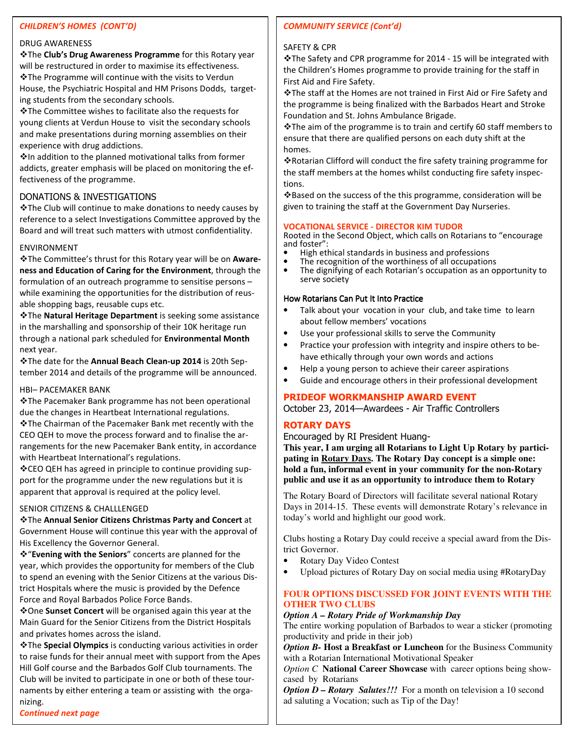#### *CHILDREN'S HOMES (CONT'D)*

#### DRUG AWARENESS

The **Club's Drug Awareness Programme** for this Rotary year will be restructured in order to maximise its effectiveness. The Programme will continue with the visits to Verdun House, the Psychiatric Hospital and HM Prisons Dodds, targeting students from the secondary schools.

The Committee wishes to facilitate also the requests for young clients at Verdun House to visit the secondary schools and make presentations during morning assemblies on their experience with drug addictions.

 $\cdot$  In addition to the planned motivational talks from former addicts, greater emphasis will be placed on monitoring the effectiveness of the programme.

#### DONATIONS & INVESTIGATIONS

The Club will continue to make donations to needy causes by reference to a select Investigations Committee approved by the Board and will treat such matters with utmost confidentiality.

#### ENVIRONMENT

The Committee's thrust for this Rotary year will be on **Awareness and Education of Caring for the Environment**, through the formulation of an outreach programme to sensitise persons – while examining the opportunities for the distribution of reusable shopping bags, reusable cups etc.

The **Natural Heritage Department** is seeking some assistance in the marshalling and sponsorship of their 10K heritage run through a national park scheduled for **Environmental Month**  next year.

The date for the **Annual Beach Clean-up 2014** is 20th September 2014 and details of the programme will be announced.

#### HBI– PACEMAKER BANK

The Pacemaker Bank programme has not been operational due the changes in Heartbeat International regulations.

The Chairman of the Pacemaker Bank met recently with the CEO QEH to move the process forward and to finalise the arrangements for the new Pacemaker Bank entity, in accordance with Heartbeat International's regulations.

CEO QEH has agreed in principle to continue providing support for the programme under the new regulations but it is apparent that approval is required at the policy level.

#### SENIOR CITIZENS & CHALLLENGED

#### The **Annual Senior Citizens Christmas Party and Concert** at Government House will continue this year with the approval of His Excellency the Governor General.

"**Evening with the Seniors**" concerts are planned for the year, which provides the opportunity for members of the Club to spend an evening with the Senior Citizens at the various District Hospitals where the music is provided by the Defence Force and Royal Barbados Police Force Bands.

One **Sunset Concert** will be organised again this year at the Main Guard for the Senior Citizens from the District Hospitals and privates homes across the island.

The **Special Olympics** is conducting various activities in order to raise funds for their annual meet with support from the Apes Hill Golf course and the Barbados Golf Club tournaments. The Club will be invited to participate in one or both of these tournaments by either entering a team or assisting with the organizing.

# *COMMUNITY SERVICE (Cont'd)*

#### SAFETY & CPR

The Safety and CPR programme for 2014 - 15 will be integrated with the Children's Homes programme to provide training for the staff in First Aid and Fire Safety.

The staff at the Homes are not trained in First Aid or Fire Safety and the programme is being finalized with the Barbados Heart and Stroke Foundation and St. Johns Ambulance Brigade.

\* The aim of the programme is to train and certify 60 staff members to ensure that there are qualified persons on each duty shift at the homes.

Rotarian Clifford will conduct the fire safety training programme for the staff members at the homes whilst conducting fire safety inspections.

Based on the success of the this programme, consideration will be given to training the staff at the Government Day Nurseries.

#### **VOCATIONAL SERVICE - DIRECTOR KIM TUDOR**

Rooted in the Second Object, which calls on Rotarians to "encourage and foster":

- High ethical standards in business and professions
- The recognition of the worthiness of all occupations<br>• The dignifying of each Rotarian's occupation as an or • The dignifying of each Rotarian's occupation as an opportunity to serve society

#### How Rotarians Can Put It Into Practice

- Talk about your vocation in your club, and take time to learn about fellow members' vocations
- Use your professional skills to serve the Community
- Practice your profession with integrity and inspire others to behave ethically through your own words and actions
- Help a young person to achieve their career aspirations
- Guide and encourage others in their professional development

# **PRIDEOF WORKMANSHIP AWARD EVENT**

October 23, 2014—Awardees - Air Traffic Controllers

# **ROTARY DAYS**

Encouraged by RI President Huang-

**This year, I am urging all Rotarians to Light Up Rotary by participating in Rotary Days. The Rotary Day concept is a simple one: hold a fun, informal event in your community for the non-Rotary public and use it as an opportunity to introduce them to Rotary**

The Rotary Board of Directors will facilitate several national Rotary Days in 2014-15. These events will demonstrate Rotary's relevance in today's world and highlight our good work.

Clubs hosting a Rotary Day could receive a special award from the District Governor.

- Rotary Day Video Contest
- Upload pictures of Rotary Day on social media using #RotaryDay

#### **FOUR OPTIONS DISCUSSED FOR JOINT EVENTS WITH THE OTHER TWO CLUBS**

#### *Option A – Rotary Pride of Workmanship Day*

The entire working population of Barbados to wear a sticker (promoting productivity and pride in their job)

*Option B-* **Host a Breakfast or Luncheon** for the Business Community with a Rotarian International Motivational Speaker

*Option C* **National Career Showcase** with career options being showcased by Rotarians

*Option D – Rotary Salutes!!!* For a month on television a 10 second ad saluting a Vocation; such as Tip of the Day!

*Continued next page*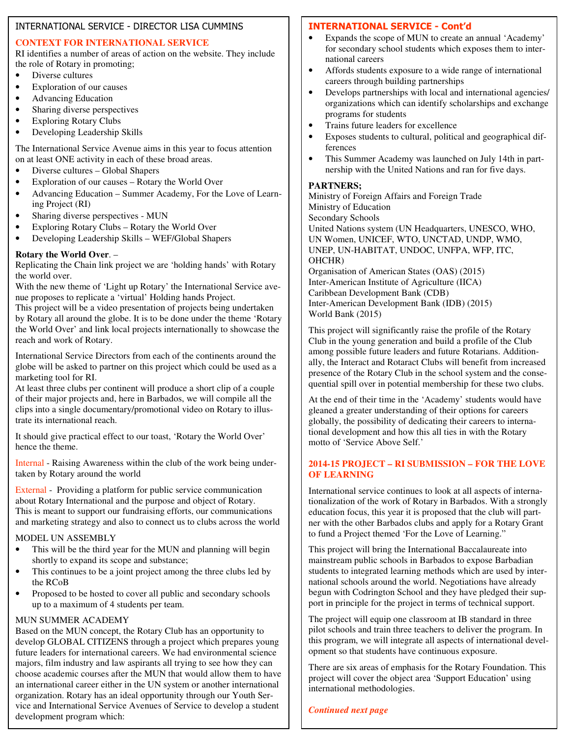#### INTERNATIONAL SERVICE - DIRECTOR LISA CUMMINS

# **CONTEXT FOR INTERNATIONAL SERVICE**

RI identifies a number of areas of action on the website. They include the role of Rotary in promoting;

- Diverse cultures
- Exploration of our causes
- Advancing Education
- Sharing diverse perspectives
- Exploring Rotary Clubs
- Developing Leadership Skills

The International Service Avenue aims in this year to focus attention on at least ONE activity in each of these broad areas.

- Diverse cultures Global Shapers
- Exploration of our causes Rotary the World Over
- Advancing Education Summer Academy, For the Love of Learning Project (RI)
- Sharing diverse perspectives MUN
- Exploring Rotary Clubs Rotary the World Over
- Developing Leadership Skills WEF/Global Shapers

# **Rotary the World Over**. –

Replicating the Chain link project we are 'holding hands' with Rotary the world over.

With the new theme of 'Light up Rotary' the International Service avenue proposes to replicate a 'virtual' Holding hands Project.

This project will be a video presentation of projects being undertaken by Rotary all around the globe. It is to be done under the theme 'Rotary the World Over' and link local projects internationally to showcase the reach and work of Rotary.

International Service Directors from each of the continents around the globe will be asked to partner on this project which could be used as a marketing tool for RI.

At least three clubs per continent will produce a short clip of a couple of their major projects and, here in Barbados, we will compile all the clips into a single documentary/promotional video on Rotary to illustrate its international reach.

It should give practical effect to our toast, 'Rotary the World Over' hence the theme.

Internal - Raising Awareness within the club of the work being undertaken by Rotary around the world

External - Providing a platform for public service communication about Rotary International and the purpose and object of Rotary. This is meant to support our fundraising efforts, our communications and marketing strategy and also to connect us to clubs across the world

# MODEL UN ASSEMBLY

- This will be the third year for the MUN and planning will begin shortly to expand its scope and substance;
- This continues to be a joint project among the three clubs led by the RCoB
- Proposed to be hosted to cover all public and secondary schools up to a maximum of 4 students per team.

# MUN SUMMER ACADEMY

Based on the MUN concept, the Rotary Club has an opportunity to develop GLOBAL CITIZENS through a project which prepares young future leaders for international careers. We had environmental science majors, film industry and law aspirants all trying to see how they can choose academic courses after the MUN that would allow them to have an international career either in the UN system or another international organization. Rotary has an ideal opportunity through our Youth Service and International Service Avenues of Service to develop a student development program which:

# **INTERNATIONAL SERVICE - Cont'd**

- Expands the scope of MUN to create an annual 'Academy' for secondary school students which exposes them to international careers
- Affords students exposure to a wide range of international careers through building partnerships
- Develops partnerships with local and international agencies/ organizations which can identify scholarships and exchange programs for students
- Trains future leaders for excellence
- Exposes students to cultural, political and geographical differences
- This Summer Academy was launched on July 14th in partnership with the United Nations and ran for five days.

# **PARTNERS;**

Ministry of Foreign Affairs and Foreign Trade Ministry of Education Secondary Schools United Nations system (UN Headquarters, UNESCO, WHO, UN Women, UNICEF, WTO, UNCTAD, UNDP, WMO, UNEP, UN-HABITAT, UNDOC, UNFPA, WFP, ITC, OHCHR) Organisation of American States (OAS) (2015) Inter-American Institute of Agriculture (IICA)

Caribbean Development Bank (CDB) Inter-American Development Bank (IDB) (2015) World Bank (2015)

This project will significantly raise the profile of the Rotary Club in the young generation and build a profile of the Club among possible future leaders and future Rotarians. Additionally, the Interact and Rotaract Clubs will benefit from increased presence of the Rotary Club in the school system and the consequential spill over in potential membership for these two clubs.

At the end of their time in the 'Academy' students would have gleaned a greater understanding of their options for careers globally, the possibility of dedicating their careers to international development and how this all ties in with the Rotary motto of 'Service Above Self.'

# **2014-15 PROJECT – RI SUBMISSION – FOR THE LOVE OF LEARNING**

International service continues to look at all aspects of internationalization of the work of Rotary in Barbados. With a strongly education focus, this year it is proposed that the club will partner with the other Barbados clubs and apply for a Rotary Grant to fund a Project themed 'For the Love of Learning."

This project will bring the International Baccalaureate into mainstream public schools in Barbados to expose Barbadian students to integrated learning methods which are used by international schools around the world. Negotiations have already begun with Codrington School and they have pledged their support in principle for the project in terms of technical support.

The project will equip one classroom at IB standard in three pilot schools and train three teachers to deliver the program. In this program, we will integrate all aspects of international development so that students have continuous exposure.

There are six areas of emphasis for the Rotary Foundation. This project will cover the object area 'Support Education' using international methodologies.

# *Continued next page*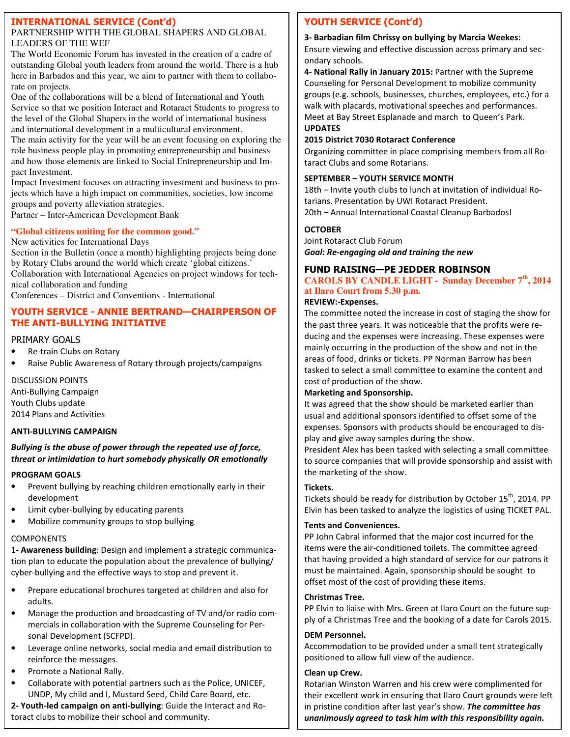#### **INTERNATIONAL SERVICE (Cont'd)**

#### PARTNERSHIP WITH THE GLOBAL SHAPERS AND GLOBAL LEADERS OF THE WEF

The World Economic Forum has invested in the creation of a cadre of outstanding Global youth leaders from around the world. There is a hub here in Barbados and this year, we aim to partner with them to collaborate on projects.

One of the collaborations will be a blend of International and Youth Service so that we position Interact and Rotaract Students to progress to the level of the Global Shapers in the world of international business and international development in a multicultural environment.

The main activity for the year will be an event focusing on exploring the role business people play in promoting entrepreneurship and business and how those elements are linked to Social Entrepreneurship and Impact Investment.

Impact Investment focuses on attracting investment and business to projects which have a high impact on communities, societies, low income groups and poverty alleviation strategies.

Partner – Inter-American Development Bank

# **"Global citizens uniting for the common good."**

New activities for International Days

Section in the Bulletin (once a month) highlighting projects being done by Rotary Clubs around the world which create 'global citizens.'

Collaboration with International Agencies on project windows for technical collaboration and funding

Conferences – District and Conventions - International

# **YOUTH SERVICE - ANNIE BERTRAND—CHAIRPERSON OF THE ANTI-BULLYING INITIATIVE**

# PRIMARY GOALS

Re-train Clubs on Rotary

• Raise Public Awareness of Rotary through projects/campaigns

DISCUSSION POINTS

Anti-Bullying Campaign Youth Clubs update 2014 Plans and Activities

# **ANTI-BULLYING CAMPAIGN**

*Bullying is the abuse of power through the repeated use of force, threat or intimidation to hurt somebody physically OR emotionally* 

# **PROGRAM GOALS**

- Prevent bullying by reaching children emotionally early in their development
- Limit cyber-bullying by educating parents
- Mobilize community groups to stop bullying

# COMPONENTS

**1- Awareness building**: Design and implement a strategic communication plan to educate the population about the prevalence of bullying/ cyber-bullying and the effective ways to stop and prevent it.

- Prepare educational brochures targeted at children and also for adults.
- Manage the production and broadcasting of TV and/or radio commercials in collaboration with the Supreme Counseling for Personal Development (SCFPD).
- Leverage online networks, social media and email distribution to reinforce the messages.
- Promote a National Rally.
- Collaborate with potential partners such as the Police, UNICEF, UNDP, My child and I, Mustard Seed, Child Care Board, etc.

**2- Youth-led campaign on anti-bullying**: Guide the Interact and Rotoract clubs to mobilize their school and community.

# **YOUTH SERVICE (Cont'd)**

# **3- Barbadian film Chrissy on bullying by Marcia Weekes:**

Ensure viewing and effective discussion across primary and secondary schools.

**4- National Rally in January 2015:** Partner with the Supreme Counseling for Personal Development to mobilize community groups (e.g. schools, businesses, churches, employees, etc.) for a walk with placards, motivational speeches and performances. Meet at Bay Street Esplanade and march to Queen's Park. **UPDATES** 

# **2015 District 7030 Rotaract Conference**

Organizing committee in place comprising members from all Rotaract Clubs and some Rotarians.

# **SEPTEMBER – YOUTH SERVICE MONTH**

18th – Invite youth clubs to lunch at invitation of individual Rotarians. Presentation by UWI Rotaract President. 20th – Annual International Coastal Cleanup Barbados!

# **OCTOBER**

Joint Rotaract Club Forum *Goal: Re-engaging old and training the new* 

# **FUND RAISING—PE JEDDER ROBINSON**

#### **CAROLS BY CANDLE LIGHT - Sunday December 7th, 2014 at Ilaro Court from 5.30 p.m.**

# **REVIEW:-Expenses.**

The committee noted the increase in cost of staging the show for the past three years. It was noticeable that the profits were reducing and the expenses were increasing. These expenses were mainly occurring in the production of the show and not in the areas of food, drinks or tickets. PP Norman Barrow has been tasked to select a small committee to examine the content and cost of production of the show.

# **Marketing and Sponsorship.**

It was agreed that the show should be marketed earlier than usual and additional sponsors identified to offset some of the expenses. Sponsors with products should be encouraged to display and give away samples during the show.

President Alex has been tasked with selecting a small committee to source companies that will provide sponsorship and assist with the marketing of the show.

# **Tickets.**

Tickets should be ready for distribution by October 15<sup>th</sup>, 2014. PP Elvin has been tasked to analyze the logistics of using TICKET PAL.

# **Tents and Conveniences.**

PP John Cabral informed that the major cost incurred for the items were the air-conditioned toilets. The committee agreed that having provided a high standard of service for our patrons it must be maintained. Again, sponsorship should be sought to offset most of the cost of providing these items.

# **Christmas Tree.**

PP Elvin to liaise with Mrs. Green at Ilaro Court on the future supply of a Christmas Tree and the booking of a date for Carols 2015.

# **DEM Personnel.**

Accommodation to be provided under a small tent strategically positioned to allow full view of the audience.

# **Clean up Crew.**

Rotarian Winston Warren and his crew were complimented for their excellent work in ensuring that Ilaro Court grounds were left in pristine condition after last year's show. *The committee has unanimously agreed to task him with this responsibility again.*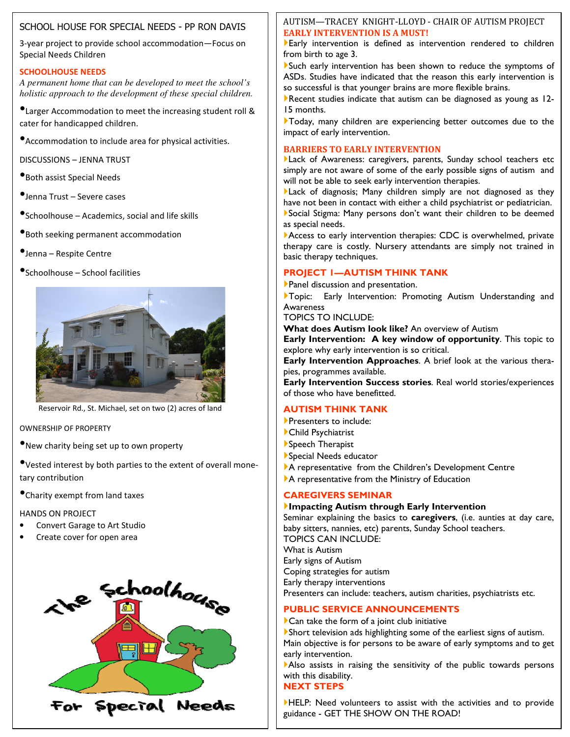# SCHOOL HOUSE FOR SPECIAL NEEDS - PP RON DAVIS

3-year project to provide school accommodation—Focus on Special Needs Children

#### **SCHOOLHOUSE NEEDS**

*A permanent home that can be developed to meet the school's holistic approach to the development of these special children.* 

•Larger Accommodation to meet the increasing student roll & cater for handicapped children.

•Accommodation to include area for physical activities.

DISCUSSIONS – JENNA TRUST

- •Both assist Special Needs
- •Jenna Trust Severe cases

•Schoolhouse – Academics, social and life skills

- •Both seeking permanent accommodation
- •Jenna Respite Centre
- •Schoolhouse School facilities



Reservoir Rd., St. Michael, set on two (2) acres of land

OWNERSHIP OF PROPERTY

•New charity being set up to own property

•Vested interest by both parties to the extent of overall monetary contribution

•Charity exempt from land taxes

#### HANDS ON PROJECT

- Convert Garage to Art Studio
- Create cover for open area



# AUTISM—TRACEY KNIGHT-LLOYD - CHAIR OF AUTISM PROJECT **EARLY INTERVENTION IS A MUST!**

Early intervention is defined as intervention rendered to children from birth to age 3.

Such early intervention has been shown to reduce the symptoms of ASDs. Studies have indicated that the reason this early intervention is so successful is that younger brains are more flexible brains.

Recent studies indicate that autism can be diagnosed as young as 12-15 months.

Today, many children are experiencing better outcomes due to the impact of early intervention.

#### **BARRIERS TO EARLY INTERVENTION**

Lack of Awareness: caregivers, parents, Sunday school teachers etc simply are not aware of some of the early possible signs of autism and will not be able to seek early intervention therapies.

Lack of diagnosis; Many children simply are not diagnosed as they have not been in contact with either a child psychiatrist or pediatrician. Social Stigma: Many persons don't want their children to be deemed

as special needs.

Access to early intervention therapies: CDC is overwhelmed, private therapy care is costly. Nursery attendants are simply not trained in basic therapy techniques.

# **PROJECT 1—AUTISM THINK TANK**

Panel discussion and presentation.

Topic: Early Intervention: Promoting Autism Understanding and Awareness

TOPICS TO INCLUDE:

**What does Autism look like?** An overview of Autism

**Early Intervention: A key window of opportunity**. This topic to explore why early intervention is so critical.

**Early Intervention Approaches**. A brief look at the various therapies, programmes available.

**Early Intervention Success stories**. Real world stories/experiences of those who have benefitted.

# **AUTISM THINK TANK**

- **Presenters to include:**
- Child Psychiatrist
- Speech Therapist
- Special Needs educator
- A representative from the Children's Development Centre
- A representative from the Ministry of Education

#### **CAREGIVERS SEMINAR**

#### **Impacting Autism through Early Intervention**

Seminar explaining the basics to **caregivers**, (i.e. aunties at day care, baby sitters, nannies, etc) parents, Sunday School teachers. TOPICS CAN INCLUDE: What is Autism Early signs of Autism Coping strategies for autism Early therapy interventions Presenters can include: teachers, autism charities, psychiatrists etc.

# **PUBLIC SERVICE ANNOUNCEMENTS**

Can take the form of a joint club initiative

Short television ads highlighting some of the earliest signs of autism. Main objective is for persons to be aware of early symptoms and to get early intervention.

Also assists in raising the sensitivity of the public towards persons with this disability.

# **NEXT STEPS**

HELP: Need volunteers to assist with the activities and to provide guidance - GET THE SHOW ON THE ROAD!